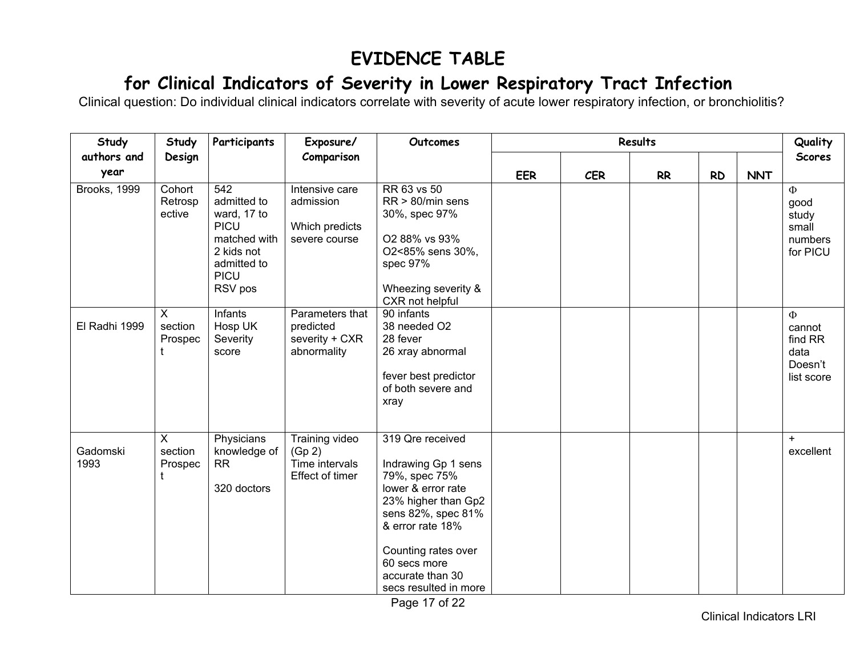## **EVIDENCE TABLE**

## **for Clinical Indicators of Severity in Lower Respiratory Tract Infection**

Clinical question: Do individual clinical indicators correlate with severity of acute lower respiratory infection, or bronchiolitis?

| Study               | Study                                     | Participants                                                                                                            | Exposure/                                                                   | <b>Outcomes</b>                                                                                                                                                                                                                     | Results    |            |           |           |            | Quality                                                      |
|---------------------|-------------------------------------------|-------------------------------------------------------------------------------------------------------------------------|-----------------------------------------------------------------------------|-------------------------------------------------------------------------------------------------------------------------------------------------------------------------------------------------------------------------------------|------------|------------|-----------|-----------|------------|--------------------------------------------------------------|
| authors and<br>year | Design                                    |                                                                                                                         | Comparison                                                                  |                                                                                                                                                                                                                                     | <b>EER</b> | <b>CER</b> | <b>RR</b> | <b>RD</b> | <b>NNT</b> | <b>Scores</b>                                                |
| Brooks, 1999        | Cohort<br>Retrosp<br>ective               | 542<br>admitted to<br>ward, 17 to<br><b>PICU</b><br>matched with<br>2 kids not<br>admitted to<br><b>PICU</b><br>RSV pos | Intensive care<br>admission<br>Which predicts<br>severe course              | RR 63 vs 50<br>$RR > 80/min$ sens<br>30%, spec 97%<br>O2 88% vs 93%<br>O2<85% sens 30%,<br>spec 97%<br>Wheezing severity &<br>CXR not helpful                                                                                       |            |            |           |           |            | $\Phi$<br>good<br>study<br>small<br>numbers<br>for PICU      |
| El Radhi 1999       | $\sf X$<br>section<br>Prospec<br>t        | <b>Infants</b><br>Hosp UK<br>Severity<br>score                                                                          | Parameters that<br>predicted<br>severity + CXR<br>abnormality               | 90 infants<br>38 needed O2<br>28 fever<br>26 xray abnormal<br>fever best predictor<br>of both severe and<br>xray                                                                                                                    |            |            |           |           |            | $\Phi$<br>cannot<br>find RR<br>data<br>Doesn't<br>list score |
| Gadomski<br>1993    | $\overline{X}$<br>section<br>Prospec<br>t | Physicians<br>knowledge of<br><b>RR</b><br>320 doctors                                                                  | <b>Training video</b><br>(Gp 2)<br>Time intervals<br><b>Effect of timer</b> | 319 Qre received<br>Indrawing Gp 1 sens<br>79%, spec 75%<br>lower & error rate<br>23% higher than Gp2<br>sens 82%, spec 81%<br>& error rate 18%<br>Counting rates over<br>60 secs more<br>accurate than 30<br>secs resulted in more |            |            |           |           |            | $+$<br>excellent                                             |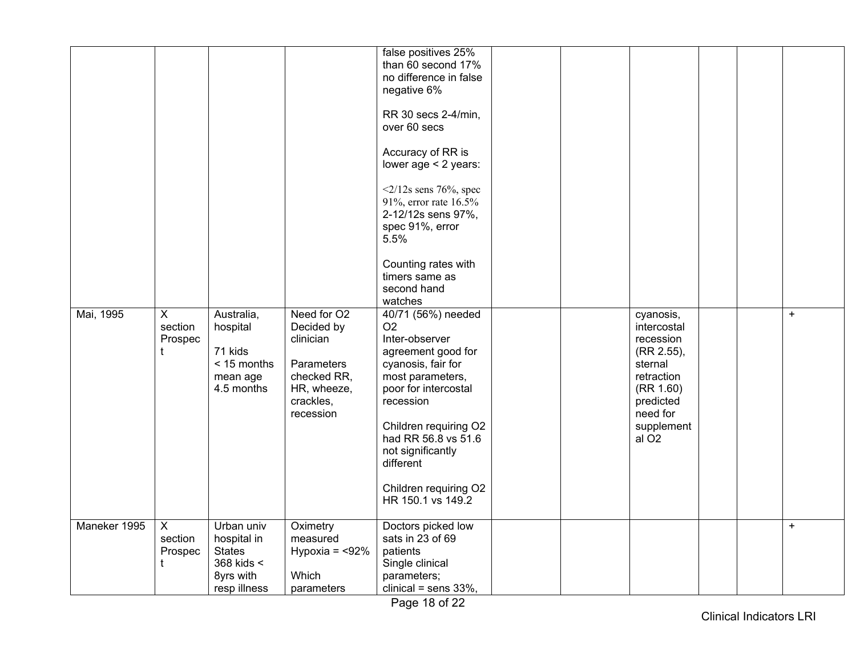|              |                                           |                                                                            |                                                                                                              | false positives 25%<br>than 60 second 17%<br>no difference in false<br>negative 6%                                                                                                                                                                                                          |  |                                                                                                                                                       |  |           |
|--------------|-------------------------------------------|----------------------------------------------------------------------------|--------------------------------------------------------------------------------------------------------------|---------------------------------------------------------------------------------------------------------------------------------------------------------------------------------------------------------------------------------------------------------------------------------------------|--|-------------------------------------------------------------------------------------------------------------------------------------------------------|--|-----------|
|              |                                           |                                                                            |                                                                                                              | RR 30 secs 2-4/min,<br>over 60 secs                                                                                                                                                                                                                                                         |  |                                                                                                                                                       |  |           |
|              |                                           |                                                                            |                                                                                                              | Accuracy of RR is<br>lower age < 2 years:                                                                                                                                                                                                                                                   |  |                                                                                                                                                       |  |           |
|              |                                           |                                                                            |                                                                                                              | $\langle 2/12s \text{ sens } 76\%, \text{spec} \rangle$<br>91%, error rate 16.5%<br>2-12/12s sens 97%,<br>spec 91%, error<br>5.5%                                                                                                                                                           |  |                                                                                                                                                       |  |           |
|              |                                           |                                                                            |                                                                                                              | Counting rates with<br>timers same as<br>second hand<br>watches                                                                                                                                                                                                                             |  |                                                                                                                                                       |  |           |
| Mai, 1995    | $\overline{X}$<br>section<br>Prospec<br>t | Australia,<br>hospital<br>71 kids<br>< 15 months<br>mean age<br>4.5 months | Need for O2<br>Decided by<br>clinician<br>Parameters<br>checked RR,<br>HR, wheeze,<br>crackles,<br>recession | 40/71 (56%) needed<br>O <sub>2</sub><br>Inter-observer<br>agreement good for<br>cyanosis, fair for<br>most parameters,<br>poor for intercostal<br>recession<br>Children requiring O2<br>had RR 56.8 vs 51.6<br>not significantly<br>different<br>Children requiring O2<br>HR 150.1 vs 149.2 |  | cyanosis,<br>intercostal<br>recession<br>(RR 2.55),<br>sternal<br>retraction<br>(RR 1.60)<br>predicted<br>need for<br>supplement<br>al O <sub>2</sub> |  | $+$       |
| Maneker 1995 | $\overline{X}$<br>section<br>Prospec      | Urban univ<br>hospital in<br><b>States</b><br>368 kids <                   | Oximetry<br>measured<br>Hypoxia = $<$ 92%                                                                    | Doctors picked low<br>sats in 23 of 69<br>patients<br>Single clinical                                                                                                                                                                                                                       |  |                                                                                                                                                       |  | $\ddot{}$ |
|              |                                           | 8yrs with<br>resp illness                                                  | Which<br>parameters                                                                                          | parameters;<br>clinical = sens $33\%$ ,                                                                                                                                                                                                                                                     |  |                                                                                                                                                       |  |           |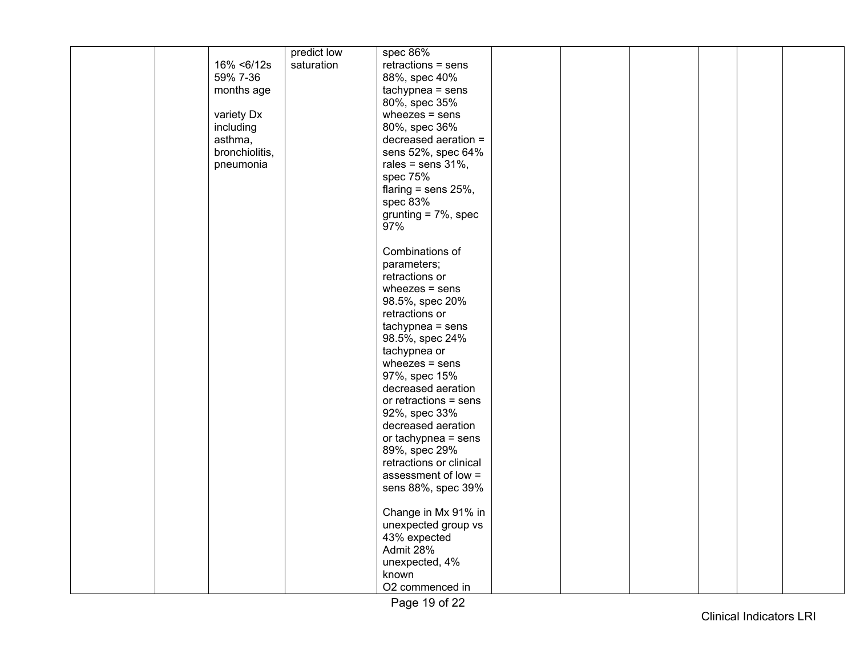|  |                | predict low | spec 86%                |  |  |  |
|--|----------------|-------------|-------------------------|--|--|--|
|  | 16% <6/12s     | saturation  | $retractions = sens$    |  |  |  |
|  | 59% 7-36       |             | 88%, spec 40%           |  |  |  |
|  | months age     |             | $tachypnea = sens$      |  |  |  |
|  |                |             | 80%, spec 35%           |  |  |  |
|  | variety Dx     |             | wheezes $=$ sens        |  |  |  |
|  |                |             |                         |  |  |  |
|  | including      |             | 80%, spec 36%           |  |  |  |
|  | asthma,        |             | decreased aeration =    |  |  |  |
|  | bronchiolitis, |             | sens 52%, spec 64%      |  |  |  |
|  | pneumonia      |             | rales = sens $31\%$ ,   |  |  |  |
|  |                |             | spec 75%                |  |  |  |
|  |                |             | flaring = sens $25%$ ,  |  |  |  |
|  |                |             | spec 83%                |  |  |  |
|  |                |             | grunting $= 7\%$ , spec |  |  |  |
|  |                |             | 97%                     |  |  |  |
|  |                |             |                         |  |  |  |
|  |                |             | Combinations of         |  |  |  |
|  |                |             |                         |  |  |  |
|  |                |             | parameters;             |  |  |  |
|  |                |             | retractions or          |  |  |  |
|  |                |             | wheezes $=$ sens        |  |  |  |
|  |                |             | 98.5%, spec 20%         |  |  |  |
|  |                |             | retractions or          |  |  |  |
|  |                |             | $tachypnea = sens$      |  |  |  |
|  |                |             | 98.5%, spec 24%         |  |  |  |
|  |                |             | tachypnea or            |  |  |  |
|  |                |             | wheezes $=$ sens        |  |  |  |
|  |                |             | 97%, spec 15%           |  |  |  |
|  |                |             | decreased aeration      |  |  |  |
|  |                |             | or retractions = sens   |  |  |  |
|  |                |             |                         |  |  |  |
|  |                |             | 92%, spec 33%           |  |  |  |
|  |                |             | decreased aeration      |  |  |  |
|  |                |             | or tachypnea = sens     |  |  |  |
|  |                |             | 89%, spec 29%           |  |  |  |
|  |                |             | retractions or clinical |  |  |  |
|  |                |             | assessment of low =     |  |  |  |
|  |                |             | sens 88%, spec 39%      |  |  |  |
|  |                |             |                         |  |  |  |
|  |                |             | Change in Mx 91% in     |  |  |  |
|  |                |             | unexpected group vs     |  |  |  |
|  |                |             | 43% expected            |  |  |  |
|  |                |             | Admit 28%               |  |  |  |
|  |                |             |                         |  |  |  |
|  |                |             | unexpected, 4%          |  |  |  |
|  |                |             | known                   |  |  |  |
|  |                |             | O2 commenced in         |  |  |  |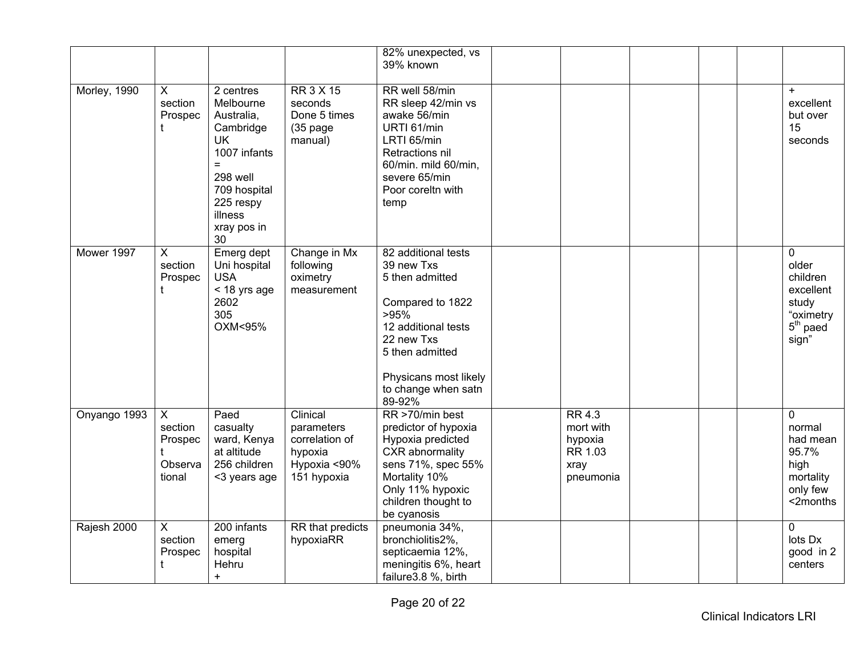|              |                                              |                                                                                                                                                         |                                                                                    | 82% unexpected, vs<br>39% known                                                                                                                                                                    |                                                                       |  |                                                                                  |
|--------------|----------------------------------------------|---------------------------------------------------------------------------------------------------------------------------------------------------------|------------------------------------------------------------------------------------|----------------------------------------------------------------------------------------------------------------------------------------------------------------------------------------------------|-----------------------------------------------------------------------|--|----------------------------------------------------------------------------------|
| Morley, 1990 | X<br>section<br>Prospec                      | 2 centres<br>Melbourne<br>Australia,<br>Cambridge<br>UK<br>1007 infants<br>$=$<br>298 well<br>709 hospital<br>225 respy<br>illness<br>xray pos in<br>30 | RR 3 X 15<br>seconds<br>Done 5 times<br>$(35$ page<br>manual)                      | RR well 58/min<br>RR sleep 42/min vs<br>awake 56/min<br>URTI 61/min<br>LRTI 65/min<br>Retractions nil<br>60/min. mild 60/min,<br>severe 65/min<br>Poor coreltn with<br>temp                        |                                                                       |  | $\ddot{}$<br>excellent<br>but over<br>15<br>seconds                              |
| Mower 1997   | X<br>section<br>Prospec                      | Emerg dept<br>Uni hospital<br><b>USA</b><br>$<$ 18 yrs age<br>2602<br>305<br>OXM<95%                                                                    | Change in Mx<br>following<br>oximetry<br>measurement                               | 82 additional tests<br>39 new Txs<br>5 then admitted<br>Compared to 1822<br>>95%<br>12 additional tests<br>22 new Txs<br>5 then admitted<br>Physicans most likely<br>to change when satn<br>89-92% |                                                                       |  | 0<br>older<br>children<br>excellent<br>study<br>"oximetry<br>$5th$ paed<br>sign" |
| Onyango 1993 | X<br>section<br>Prospec<br>Observa<br>tional | Paed<br>casualty<br>ward, Kenya<br>at altitude<br>256 children<br><3 years age                                                                          | Clinical<br>parameters<br>correlation of<br>hypoxia<br>Hypoxia <90%<br>151 hypoxia | RR >70/min best<br>predictor of hypoxia<br>Hypoxia predicted<br><b>CXR</b> abnormality<br>sens 71%, spec 55%<br>Mortality 10%<br>Only 11% hypoxic<br>children thought to<br>be cyanosis            | <b>RR 4.3</b><br>mort with<br>hypoxia<br>RR 1.03<br>xray<br>pneumonia |  | 0<br>normal<br>had mean<br>95.7%<br>high<br>mortality<br>only few<br>$<$ 2months |
| Rajesh 2000  | $\overline{X}$<br>section<br>Prospec         | 200 infants<br>emerg<br>hospital<br>Hehru<br>$\ddot{}$                                                                                                  | RR that predicts<br>hypoxiaRR                                                      | pneumonia 34%,<br>bronchiolitis2%,<br>septicaemia 12%,<br>meningitis 6%, heart<br>failure3.8 %, birth                                                                                              |                                                                       |  | 0<br>lots Dx<br>good in 2<br>centers                                             |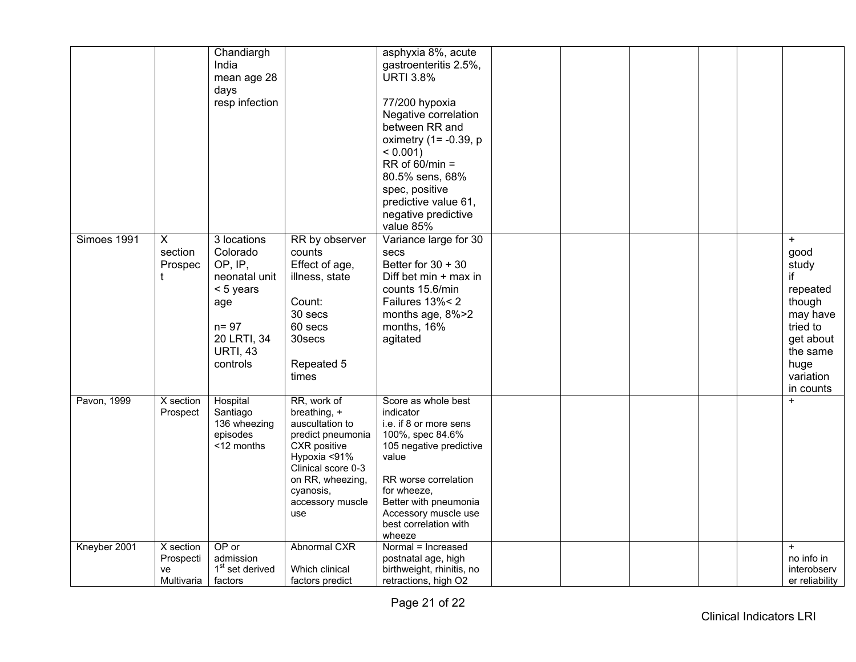|              |                                            | Chandiargh<br>India<br>mean age 28<br>days<br>resp infection                                                                      |                                                                                                                                                                                              | asphyxia 8%, acute<br>gastroenteritis 2.5%,<br><b>URTI 3.8%</b><br>77/200 hypoxia<br>Negative correlation<br>between RR and<br>oximetry (1= -0.39, p<br>$< 0.001$ )<br>$RR of 60/min =$<br>80.5% sens, 68%<br>spec, positive<br>predictive value 61,<br>negative predictive<br>value 85% |  |  |                                                                                                                                     |
|--------------|--------------------------------------------|-----------------------------------------------------------------------------------------------------------------------------------|----------------------------------------------------------------------------------------------------------------------------------------------------------------------------------------------|------------------------------------------------------------------------------------------------------------------------------------------------------------------------------------------------------------------------------------------------------------------------------------------|--|--|-------------------------------------------------------------------------------------------------------------------------------------|
| Simoes 1991  | $\mathsf{X}$<br>section<br>Prospec<br>t    | 3 locations<br>Colorado<br>OP, IP,<br>neonatal unit<br>< 5 years<br>age<br>$n = 97$<br>20 LRTI, 34<br><b>URTI, 43</b><br>controls | RR by observer<br>counts<br>Effect of age,<br>illness, state<br>Count:<br>30 secs<br>60 secs<br>30secs<br>Repeated 5<br>times                                                                | Variance large for 30<br>secs<br>Better for $30 + 30$<br>Diff bet min + max in<br>counts 15.6/min<br>Failures 13%<2<br>months age, 8%>2<br>months, 16%<br>agitated                                                                                                                       |  |  | $+$<br>good<br>study<br>if<br>repeated<br>though<br>may have<br>tried to<br>get about<br>the same<br>huge<br>variation<br>in counts |
| Pavon, 1999  | X section<br>Prospect                      | Hospital<br>Santiago<br>136 wheezing<br>episodes<br><12 months                                                                    | RR, work of<br>breathing, +<br>auscultation to<br>predict pneumonia<br><b>CXR</b> positive<br>Hypoxia <91%<br>Clinical score 0-3<br>on RR, wheezing,<br>cyanosis,<br>accessory muscle<br>use | Score as whole best<br>indicator<br>i.e. if 8 or more sens<br>100%, spec 84.6%<br>105 negative predictive<br>value<br>RR worse correlation<br>for wheeze,<br>Better with pneumonia<br>Accessory muscle use<br>best correlation with<br>wheeze                                            |  |  | $+$                                                                                                                                 |
| Kneyber 2001 | X section<br>Prospecti<br>ve<br>Multivaria | OP or<br>admission<br>1 <sup>st</sup> set derived<br>factors                                                                      | Abnormal CXR<br>Which clinical<br>factors predict                                                                                                                                            | Normal = Increased<br>postnatal age, high<br>birthweight, rhinitis, no<br>retractions, high O2                                                                                                                                                                                           |  |  | $+$<br>no info in<br>interobserv<br>er reliability                                                                                  |